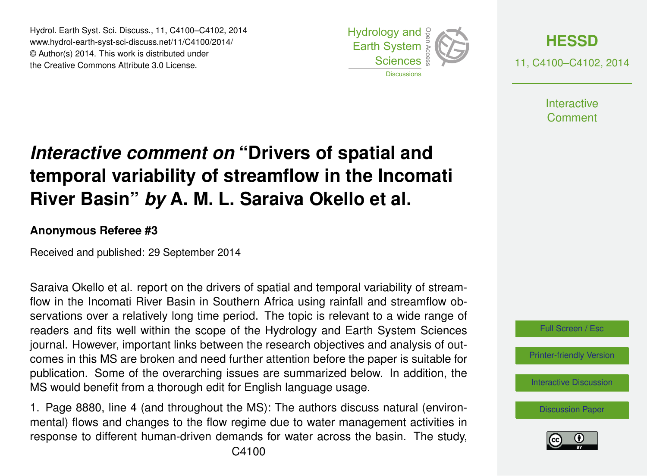Hydrol. Earth Syst. Sci. Discuss., 11, C4100–C4102, 2014 www.hydrol-earth-syst-sci-discuss.net/11/C4100/2014/ © Author(s) 2014. This work is distributed under the Creative Commons Attribute 3.0 License.





**Interactive** Comment

## *Interactive comment on* **"Drivers of spatial and temporal variability of streamflow in the Incomati River Basin"** *by* **A. M. L. Saraiva Okello et al.**

## **Anonymous Referee #3**

Received and published: 29 September 2014

Saraiva Okello et al. report on the drivers of spatial and temporal variability of streamflow in the Incomati River Basin in Southern Africa using rainfall and streamflow observations over a relatively long time period. The topic is relevant to a wide range of readers and fits well within the scope of the Hydrology and Earth System Sciences journal. However, important links between the research objectives and analysis of outcomes in this MS are broken and need further attention before the paper is suitable for publication. Some of the overarching issues are summarized below. In addition, the MS would benefit from a thorough edit for English language usage.

1. Page 8880, line 4 (and throughout the MS): The authors discuss natural (environmental) flows and changes to the flow regime due to water management activities in response to different human-driven demands for water across the basin. The study,



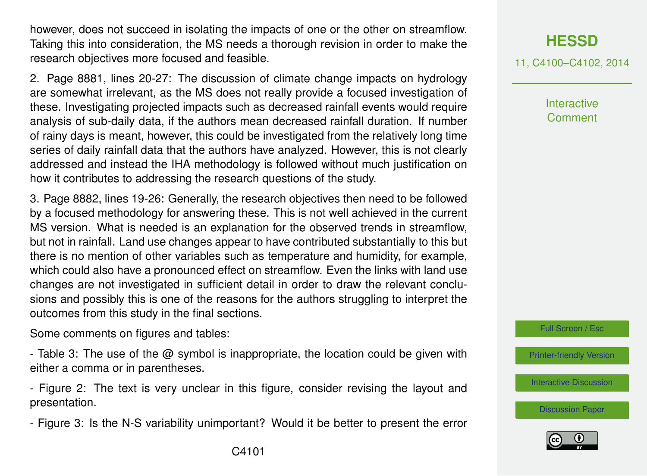however, does not succeed in isolating the impacts of one or the other on streamflow. Taking this into consideration, the MS needs a thorough revision in order to make the research objectives more focused and feasible.

2. Page 8881, lines 20-27: The discussion of climate change impacts on hydrology are somewhat irrelevant, as the MS does not really provide a focused investigation of these. Investigating projected impacts such as decreased rainfall events would require analysis of sub-daily data, if the authors mean decreased rainfall duration. If number of rainy days is meant, however, this could be investigated from the relatively long time series of daily rainfall data that the authors have analyzed. However, this is not clearly addressed and instead the IHA methodology is followed without much justification on how it contributes to addressing the research questions of the study.

3. Page 8882, lines 19-26: Generally, the research objectives then need to be followed by a focused methodology for answering these. This is not well achieved in the current MS version. What is needed is an explanation for the observed trends in streamflow, but not in rainfall. Land use changes appear to have contributed substantially to this but there is no mention of other variables such as temperature and humidity, for example, which could also have a pronounced effect on streamflow. Even the links with land use changes are not investigated in sufficient detail in order to draw the relevant conclusions and possibly this is one of the reasons for the authors struggling to interpret the outcomes from this study in the final sections.

Some comments on figures and tables:

- Table 3: The use of the @ symbol is inappropriate, the location could be given with either a comma or in parentheses.

- Figure 2: The text is very unclear in this figure, consider revising the layout and presentation.

- Figure 3: Is the N-S variability unimportant? Would it be better to present the error

11, C4100–C4102, 2014

**Interactive Comment** 

Full Screen / Esc

[Printer-friendly Version](http://www.hydrol-earth-syst-sci-discuss.net/11/C4100/2014/hessd-11-C4100-2014-print.pdf)

[Interactive Discussion](http://www.hydrol-earth-syst-sci-discuss.net/11/8879/2014/hessd-11-8879-2014-discussion.html)

[Discussion Paper](http://www.hydrol-earth-syst-sci-discuss.net/11/8879/2014/hessd-11-8879-2014.pdf)